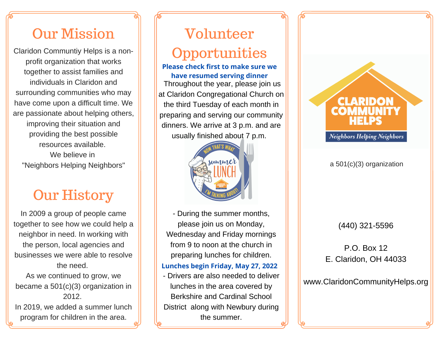## Our Mission

Claridon Communtiy Helps is a nonprofit organization that works together to assist families and individuals in Claridon and surrounding communities who may have come upon a difficult time. We are passionate about helping others, improving their situation and providing the best possible resources available. We believe in "Neighbors Helping Neighbors"

## Our History

In 2009 a group of people came together to see how we could help a neighbor in need. In working with the person, local agencies and businesses we were able to resolve the need.

As we continued to grow, we became a 501(c)(3) organization in 2012.

In 2019, we added a summer lunch program for children in the area.

# Volunteer

## **Opportunities**

Throughout the year, please join us at Claridon Congregational Church on the third Tuesday of each month in preparing and serving our community dinners. We arrive at 3 p.m. and are usually finished about 7 p.m. **Please check first to make sure we have resumed serving dinner**



- During the summer months, please join us on Monday, Wednesday and Friday mornings from 9 to noon at the church in preparing lunches for children.

### **Lunches begin Friday, May 27, 2022**

- Drivers are also needed to deliver lunches in the area covered by Berkshire and Cardinal School District along with Newbury during the summer.



### a 501(c)(3) organization

(440) 321-5596

 $P \cap \text{Box } 12$ E. Claridon, OH 44033

www.ClaridonCommunityHelps.org